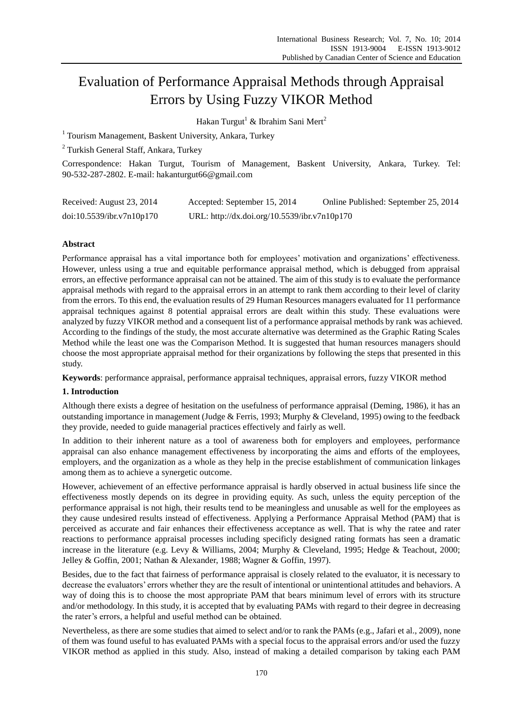# Evaluation of Performance Appraisal Methods through Appraisal Errors by Using Fuzzy VIKOR Method

Hakan Turgut<sup>1</sup> & Ibrahim Sani Mert<sup>2</sup>

 $1$  Tourism Management, Baskent University, Ankara, Turkey

<sup>2</sup> Turkish General Staff, Ankara, Turkey

Correspondence: Hakan Turgut, Tourism of Management, Baskent University, Ankara, Turkey. Tel: 90-532-287-2802. E-mail: hakanturgut66@gmail.com

| Received: August 23, 2014 | Accepted: September 15, 2014                 | Online Published: September 25, 2014 |
|---------------------------|----------------------------------------------|--------------------------------------|
| doi:10.5539/ibr.v7n10p170 | URL: http://dx.doi.org/10.5539/ibr.v7n10p170 |                                      |

# **Abstract**

Performance appraisal has a vital importance both for employees' motivation and organizations' effectiveness. However, unless using a true and equitable performance appraisal method, which is debugged from appraisal errors, an effective performance appraisal can not be attained. The aim of this study is to evaluate the performance appraisal methods with regard to the appraisal errors in an attempt to rank them according to their level of clarity from the errors. To this end, the evaluation results of 29 Human Resources managers evaluated for 11 performance appraisal techniques against 8 potential appraisal errors are dealt within this study. These evaluations were analyzed by fuzzy VIKOR method and a consequent list of a performance appraisal methods by rank was achieved. According to the findings of the study, the most accurate alternative was determined as the Graphic Rating Scales Method while the least one was the Comparison Method. It is suggested that human resources managers should choose the most appropriate appraisal method for their organizations by following the steps that presented in this study.

**Keywords**: performance appraisal, performance appraisal techniques, appraisal errors, fuzzy VIKOR method

## **1. Introduction**

Although there exists a degree of hesitation on the usefulness of performance appraisal (Deming, 1986), it has an outstanding importance in management (Judge & Ferris, 1993; Murphy & Cleveland, 1995) owing to the feedback they provide, needed to guide managerial practices effectively and fairly as well.

In addition to their inherent nature as a tool of awareness both for employers and employees, performance appraisal can also enhance management effectiveness by incorporating the aims and efforts of the employees, employers, and the organization as a whole as they help in the precise establishment of communication linkages among them as to achieve a synergetic outcome.

However, achievement of an effective performance appraisal is hardly observed in actual business life since the effectiveness mostly depends on its degree in providing equity. As such, unless the equity perception of the performance appraisal is not high, their results tend to be meaningless and unusable as well for the employees as they cause undesired results instead of effectiveness. Applying a Performance Appraisal Method (PAM) that is perceived as accurate and fair enhances their effectiveness acceptance as well. That is why the ratee and rater reactions to performance appraisal processes including specificly designed rating formats has seen a dramatic increase in the literature (e.g. Levy & Williams, 2004; Murphy & Cleveland, 1995; Hedge & Teachout, 2000; Jelley & Goffin, 2001; Nathan & Alexander, 1988; Wagner & Goffin, 1997).

Besides, due to the fact that fairness of performance appraisal is closely related to the evaluator, it is necessary to decrease the evaluators' errors whether they are the result of intentional or unintentional attitudes and behaviors. A way of doing this is to choose the most appropriate PAM that bears minimum level of errors with its structure and/or methodology. In this study, it is accepted that by evaluating PAMs with regard to their degree in decreasing the rater's errors, a helpful and useful method can be obtained.

Nevertheless, as there are some studies that aimed to select and/or to rank the PAMs (e.g., Jafari et al., 2009), none of them was found useful to has evaluated PAMs with a special focus to the appraisal errors and/or used the fuzzy VIKOR method as applied in this study. Also, instead of making a detailed comparison by taking each PAM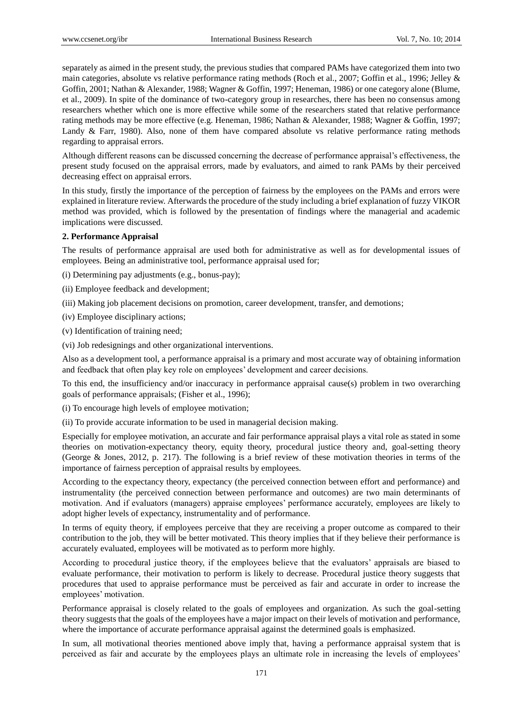separately as aimed in the present study, the previous studies that compared PAMs have categorized them into two main categories, absolute vs relative performance rating methods (Roch et al., 2007; Goffin et al., 1996; Jelley & Goffin, 2001; Nathan & Alexander, 1988; Wagner & Goffin, 1997; Heneman, 1986) or one category alone (Blume, et al., 2009). In spite of the dominance of two-category group in researches, there has been no consensus among researchers whether which one is more effective while some of the researchers stated that relative performance rating methods may be more effective (e.g. Heneman, 1986; Nathan & Alexander, 1988; Wagner & Goffin, 1997; Landy & Farr, 1980). Also, none of them have compared absolute vs relative performance rating methods regarding to appraisal errors.

Although different reasons can be discussed concerning the decrease of performance appraisal's effectiveness, the present study focused on the appraisal errors, made by evaluators, and aimed to rank PAMs by their perceived decreasing effect on appraisal errors.

In this study, firstly the importance of the perception of fairness by the employees on the PAMs and errors were explained in literature review. Afterwards the procedure of the study including a brief explanation of fuzzy VIKOR method was provided, which is followed by the presentation of findings where the managerial and academic implications were discussed.

# **2. Performance Appraisal**

The results of performance appraisal are used both for administrative as well as for developmental issues of employees. Being an administrative tool, performance appraisal used for;

(i) Determining pay adjustments (e.g., bonus-pay);

- (ii) Employee feedback and development;
- (iii) Making job placement decisions on promotion, career development, transfer, and demotions;
- (iv) Employee disciplinary actions;
- (v) Identification of training need;
- (vi) Job redesignings and other organizational interventions.

Also as a development tool, a performance appraisal is a primary and most accurate way of obtaining information and feedback that often play key role on employees' development and career decisions.

To this end, the insufficiency and/or inaccuracy in performance appraisal cause(s) problem in two overarching goals of performance appraisals; (Fisher et al., 1996);

(i) To encourage high levels of employee motivation;

(ii) To provide accurate information to be used in managerial decision making.

Especially for employee motivation, an accurate and fair performance appraisal plays a vital role as stated in some theories on motivation-expectancy theory, equity theory, procedural justice theory and, goal-setting theory (George & Jones, 2012, p. 217). The following is a brief review of these motivation theories in terms of the importance of fairness perception of appraisal results by employees.

According to the expectancy theory, expectancy (the perceived connection between effort and performance) and instrumentality (the perceived connection between performance and outcomes) are two main determinants of motivation. And if evaluators (managers) appraise employees' performance accurately, employees are likely to adopt higher levels of expectancy, instrumentality and of performance.

In terms of equity theory, if employees perceive that they are receiving a proper outcome as compared to their contribution to the job, they will be better motivated. This theory implies that if they believe their performance is accurately evaluated, employees will be motivated as to perform more highly.

According to procedural justice theory, if the employees believe that the evaluators' appraisals are biased to evaluate performance, their motivation to perform is likely to decrease. Procedural justice theory suggests that procedures that used to appraise performance must be perceived as fair and accurate in order to increase the employees' motivation.

Performance appraisal is closely related to the goals of employees and organization. As such the goal-setting theory suggests that the goals of the employees have a major impact on their levels of motivation and performance, where the importance of accurate performance appraisal against the determined goals is emphasized.

In sum, all motivational theories mentioned above imply that, having a performance appraisal system that is perceived as fair and accurate by the employees plays an ultimate role in increasing the levels of employees'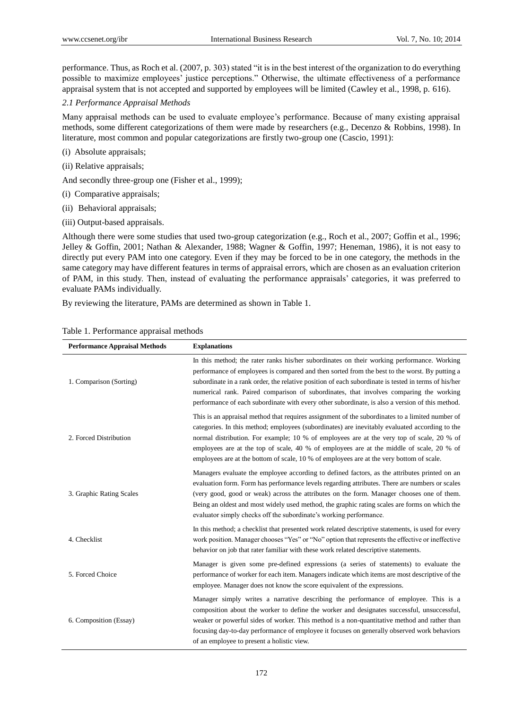performance. Thus, as Roch et al. (2007, p. 303) stated "it is in the best interest of the organization to do everything possible to maximize employees' justice perceptions." Otherwise, the ultimate effectiveness of a performance appraisal system that is not accepted and supported by employees will be limited (Cawley et al., 1998, p. 616).

# *2.1 Performance Appraisal Methods*

Many appraisal methods can be used to evaluate employee's performance. Because of many existing appraisal methods, some different categorizations of them were made by researchers (e.g., Decenzo & Robbins, 1998). In literature, most common and popular categorizations are firstly two-group one (Cascio, 1991):

- (i) Absolute appraisals;
- (ii) Relative appraisals;

And secondly three-group one (Fisher et al., 1999);

- (i) Comparative appraisals;
- (ii) Behavioral appraisals;
- (iii) Output-based appraisals.

Although there were some studies that used two-group categorization (e.g., Roch et al., 2007; Goffin et al., 1996; Jelley & Goffin, 2001; Nathan & Alexander, 1988; Wagner & Goffin, 1997; Heneman, 1986), it is not easy to directly put every PAM into one category. Even if they may be forced to be in one category, the methods in the same category may have different features in terms of appraisal errors, which are chosen as an evaluation criterion of PAM, in this study. Then, instead of evaluating the performance appraisals' categories, it was preferred to evaluate PAMs individually.

By reviewing the literature, PAMs are determined as shown in Table 1.

| Table 1. Performance appraisal methods |  |  |  |  |  |
|----------------------------------------|--|--|--|--|--|
|----------------------------------------|--|--|--|--|--|

| <b>Performance Appraisal Methods</b> | <b>Explanations</b>                                                                                                                                                                                                                                                                                                                                                                                                                                                                              |
|--------------------------------------|--------------------------------------------------------------------------------------------------------------------------------------------------------------------------------------------------------------------------------------------------------------------------------------------------------------------------------------------------------------------------------------------------------------------------------------------------------------------------------------------------|
| 1. Comparison (Sorting)              | In this method; the rater ranks his/her subordinates on their working performance. Working<br>performance of employees is compared and then sorted from the best to the worst. By putting a<br>subordinate in a rank order, the relative position of each subordinate is tested in terms of his/her<br>numerical rank. Paired comparison of subordinates, that involves comparing the working<br>performance of each subordinate with every other subordinate, is also a version of this method. |
| 2. Forced Distribution               | This is an appraisal method that requires assignment of the subordinates to a limited number of<br>categories. In this method; employees (subordinates) are inevitably evaluated according to the<br>normal distribution. For example; 10 % of employees are at the very top of scale, 20 % of<br>employees are at the top of scale, 40 % of employees are at the middle of scale, 20 % of<br>employees are at the bottom of scale, 10 % of employees are at the very bottom of scale.           |
| 3. Graphic Rating Scales             | Managers evaluate the employee according to defined factors, as the attributes printed on an<br>evaluation form. Form has performance levels regarding attributes. There are numbers or scales<br>(very good, good or weak) across the attributes on the form. Manager chooses one of them.<br>Being an oldest and most widely used method, the graphic rating scales are forms on which the<br>evaluator simply checks off the subordinate's working performance.                               |
| 4. Checklist                         | In this method; a checklist that presented work related descriptive statements, is used for every<br>work position. Manager chooses "Yes" or "No" option that represents the effective or ineffective<br>behavior on job that rater familiar with these work related descriptive statements.                                                                                                                                                                                                     |
| 5. Forced Choice                     | Manager is given some pre-defined expressions (a series of statements) to evaluate the<br>performance of worker for each item. Managers indicate which items are most descriptive of the<br>employee. Manager does not know the score equivalent of the expressions.                                                                                                                                                                                                                             |
| 6. Composition (Essay)               | Manager simply writes a narrative describing the performance of employee. This is a<br>composition about the worker to define the worker and designates successful, unsuccessful,<br>weaker or powerful sides of worker. This method is a non-quantitative method and rather than<br>focusing day-to-day performance of employee it focuses on generally observed work behaviors<br>of an employee to present a holistic view.                                                                   |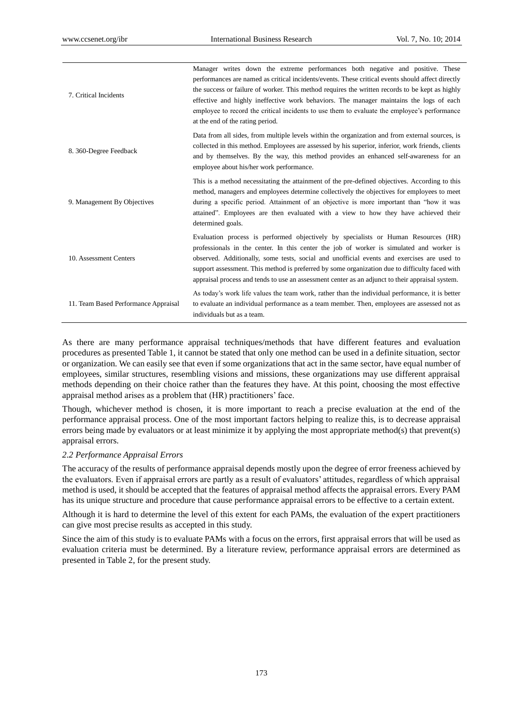| 7. Critical Incidents                | Manager writes down the extreme performances both negative and positive. These<br>performances are named as critical incidents/events. These critical events should affect directly<br>the success or failure of worker. This method requires the written records to be kept as highly<br>effective and highly ineffective work behaviors. The manager maintains the logs of each<br>employee to record the critical incidents to use them to evaluate the employee's performance<br>at the end of the rating period. |
|--------------------------------------|-----------------------------------------------------------------------------------------------------------------------------------------------------------------------------------------------------------------------------------------------------------------------------------------------------------------------------------------------------------------------------------------------------------------------------------------------------------------------------------------------------------------------|
| 8. 360-Degree Feedback               | Data from all sides, from multiple levels within the organization and from external sources, is<br>collected in this method. Employees are assessed by his superior, inferior, work friends, clients<br>and by themselves. By the way, this method provides an enhanced self-awareness for an<br>employee about his/her work performance.                                                                                                                                                                             |
| 9. Management By Objectives          | This is a method necessitating the attainment of the pre-defined objectives. According to this<br>method, managers and employees determine collectively the objectives for employees to meet<br>during a specific period. Attainment of an objective is more important than "how it was<br>attained". Employees are then evaluated with a view to how they have achieved their<br>determined goals.                                                                                                                   |
| 10. Assessment Centers               | Evaluation process is performed objectively by specialists or Human Resources (HR)<br>professionals in the center. In this center the job of worker is simulated and worker is<br>observed. Additionally, some tests, social and unofficial events and exercises are used to<br>support assessment. This method is preferred by some organization due to difficulty faced with<br>appraisal process and tends to use an assessment center as an adjunct to their appraisal system.                                    |
| 11. Team Based Performance Appraisal | As today's work life values the team work, rather than the individual performance, it is better<br>to evaluate an individual performance as a team member. Then, employees are assessed not as<br>individuals but as a team.                                                                                                                                                                                                                                                                                          |

As there are many performance appraisal techniques/methods that have different features and evaluation procedures as presented Table 1, it cannot be stated that only one method can be used in a definite situation, sector or organization. We can easily see that even if some organizations that act in the same sector, have equal number of employees, similar structures, resembling visions and missions, these organizations may use different appraisal methods depending on their choice rather than the features they have. At this point, choosing the most effective appraisal method arises as a problem that (HR) practitioners' face.

Though, whichever method is chosen, it is more important to reach a precise evaluation at the end of the performance appraisal process. One of the most important factors helping to realize this, is to decrease appraisal errors being made by evaluators or at least minimize it by applying the most appropriate method(s) that prevent(s) appraisal errors.

## *2.2 Performance Appraisal Errors*

The accuracy of the results of performance appraisal depends mostly upon the degree of error freeness achieved by the evaluators. Even if appraisal errors are partly as a result of evaluators' attitudes, regardless of which appraisal method is used, it should be accepted that the features of appraisal method affects the appraisal errors. Every PAM has its unique structure and procedure that cause performance appraisal errors to be effective to a certain extent.

Although it is hard to determine the level of this extent for each PAMs, the evaluation of the expert practitioners can give most precise results as accepted in this study.

Since the aim of this study is to evaluate PAMs with a focus on the errors, first appraisal errors that will be used as evaluation criteria must be determined. By a literature review, performance appraisal errors are determined as presented in Table 2, for the present study.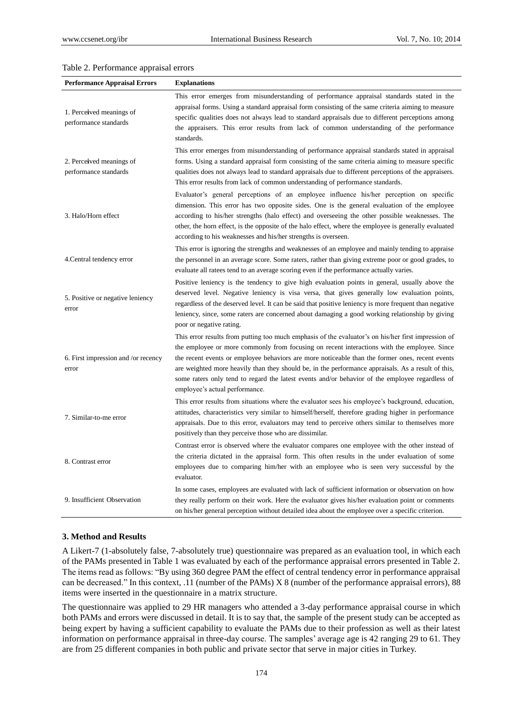#### Table 2. Performance appraisal errors

| Performance Appraisal Errors                      | <b>Explanations</b>                                                                                                                                                                                                                                                                                                                                                                                                                                                                                                                              |
|---------------------------------------------------|--------------------------------------------------------------------------------------------------------------------------------------------------------------------------------------------------------------------------------------------------------------------------------------------------------------------------------------------------------------------------------------------------------------------------------------------------------------------------------------------------------------------------------------------------|
| 1. Perceived meanings of<br>performance standards | This error emerges from misunderstanding of performance appraisal standards stated in the<br>appraisal forms. Using a standard appraisal form consisting of the same criteria aiming to measure<br>specific qualities does not always lead to standard appraisals due to different perceptions among<br>the appraisers. This error results from lack of common understanding of the performance<br>standards.                                                                                                                                    |
| 2. Perceived meanings of<br>performance standards | This error emerges from misunderstanding of performance appraisal standards stated in appraisal<br>forms. Using a standard appraisal form consisting of the same criteria aiming to measure specific<br>qualities does not always lead to standard appraisals due to different perceptions of the appraisers.<br>This error results from lack of common understanding of performance standards.                                                                                                                                                  |
| 3. Halo/Horn effect                               | Evaluator's general perceptions of an employee influence his/her perception on specific<br>dimension. This error has two opposite sides. One is the general evaluation of the employee<br>according to his/her strengths (halo effect) and overseeing the other possible weaknesses. The<br>other, the horn effect, is the opposite of the halo effect, where the employee is generally evaluated<br>according to his weaknesses and his/her strengths is overseen.                                                                              |
| 4. Central tendency error                         | This error is ignoring the strengths and weaknesses of an employee and mainly tending to appraise<br>the personnel in an average score. Some raters, rather than giving extreme poor or good grades, to<br>evaluate all ratees tend to an average scoring even if the performance actually varies.                                                                                                                                                                                                                                               |
| 5. Positive or negative leniency<br>error         | Positive leniency is the tendency to give high evaluation points in general, usually above the<br>deserved level. Negative leniency is visa versa, that gives generally low evaluation points,<br>regardless of the deserved level. It can be said that positive leniency is more frequent than negative<br>leniency, since, some raters are concerned about damaging a good working relationship by giving<br>poor or negative rating.                                                                                                          |
| 6. First impression and /or recency<br>error      | This error results from putting too much emphasis of the evaluator's on his/her first impression of<br>the employee or more commonly from focusing on recent interactions with the employee. Since<br>the recent events or employee behaviors are more noticeable than the former ones, recent events<br>are weighted more heavily than they should be, in the performance appraisals. As a result of this,<br>some raters only tend to regard the latest events and/or behavior of the employee regardless of<br>employee's actual performance. |
| 7. Similar-to-me error                            | This error results from situations where the evaluator sees his employee's background, education,<br>attitudes, characteristics very similar to himself/herself, therefore grading higher in performance<br>appraisals. Due to this error, evaluators may tend to perceive others similar to themselves more<br>positively than they perceive those who are dissimilar.                                                                                                                                                                          |
| 8. Contrast error                                 | Contrast error is observed where the evaluator compares one employee with the other instead of<br>the criteria dictated in the appraisal form. This often results in the under evaluation of some<br>employees due to comparing him/her with an employee who is seen very successful by the<br>evaluator.                                                                                                                                                                                                                                        |
| 9. Insufficient Observation                       | In some cases, employees are evaluated with lack of sufficient information or observation on how<br>they really perform on their work. Here the evaluator gives his/her evaluation point or comments<br>on his/her general perception without detailed idea about the employee over a specific criterion.                                                                                                                                                                                                                                        |

## **3. Method and Results**

A Likert-7 (1-absolutely false, 7-absolutely true) questionnaire was prepared as an evaluation tool, in which each of the PAMs presented in Table 1 was evaluated by each of the performance appraisal errors presented in Table 2. The items read as follows: "By using 360 degree PAM the effect of central tendency error in performance appraisal can be decreased." In this context, .11 (number of the PAMs) X 8 (number of the performance appraisal errors), 88 items were inserted in the questionnaire in a matrix structure.

The questionnaire was applied to 29 HR managers who attended a 3-day performance appraisal course in which both PAMs and errors were discussed in detail. It is to say that, the sample of the present study can be accepted as being expert by having a sufficient capability to evaluate the PAMs due to their profession as well as their latest information on performance appraisal in three-day course. The samples' average age is 42 ranging 29 to 61. They are from 25 different companies in both public and private sector that serve in major cities in Turkey.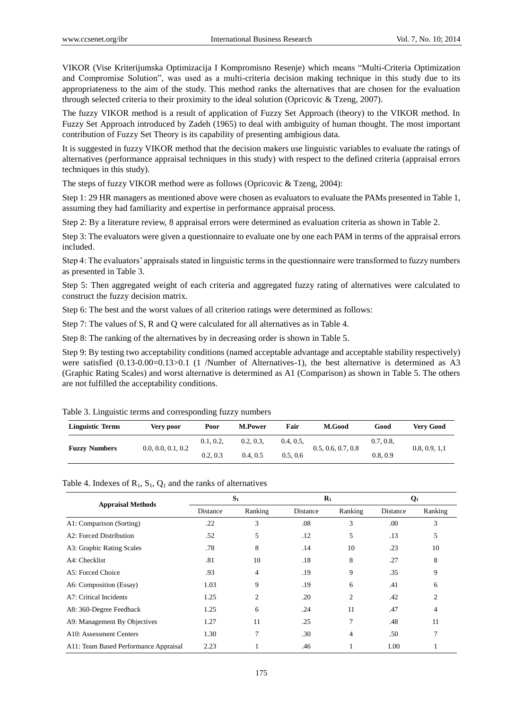VIKOR (Vise Kriterijumska Optimizacija I Kompromisno Resenje) which means "Multi-Criteria Optimization and Compromise Solution", was used as a multi-criteria decision making technique in this study due to its appropriateness to the aim of the study. This method ranks the alternatives that are chosen for the evaluation through selected criteria to their proximity to the ideal solution (Opricovic & Tzeng, 2007).

The fuzzy VIKOR method is a result of application of Fuzzy Set Approach (theory) to the VIKOR method. In Fuzzy Set Approach introduced by Zadeh (1965) to deal with ambiguity of human thought. The most important contribution of Fuzzy Set Theory is its capability of presenting ambigious data.

It is suggested in fuzzy VIKOR method that the decision makers use linguistic variables to evaluate the ratings of alternatives (performance appraisal techniques in this study) with respect to the defined criteria (appraisal errors techniques in this study).

The steps of fuzzy VIKOR method were as follows (Opricovic & Tzeng, 2004):

Step 1: 29 HR managers as mentioned above were chosen as evaluators to evaluate the PAMs presented in Table 1, assuming they had familiarity and expertise in performance appraisal process.

Step 2: By a literature review, 8 appraisal errors were determined as evaluation criteria as shown in Table 2.

Step 3: The evaluators were given a questionnaire to evaluate one by one each PAM in terms of the appraisal errors included.

Step 4: The evaluators' appraisals stated in linguistic terms in the questionnaire were transformed to fuzzy numbers as presented in Table 3.

Step 5: Then aggregated weight of each criteria and aggregated fuzzy rating of alternatives were calculated to construct the fuzzy decision matrix.

Step 6: The best and the worst values of all criterion ratings were determined as follows:

Step 7: The values of S, R and Q were calculated for all alternatives as in Table 4.

Step 8: The ranking of the alternatives by in decreasing order is shown in Table 5.

Step 9: By testing two acceptability conditions (named acceptable advantage and acceptable stability respectively) were satisfied (0.13-0.00=0.13>0.1 (1 /Number of Alternatives-1), the best alternative is determined as A3 (Graphic Rating Scales) and worst alternative is determined as A1 (Comparison) as shown in Table 5. The others are not fulfilled the acceptability conditions.

|  |  | Lable 5. Emiguistic terms and corresponding fuzzy numbers |  |  |
|--|--|-----------------------------------------------------------|--|--|
|  |  |                                                           |  |  |

| <b>Linguistic Terms</b> | Very poor          | Poor     | <b>M.Power</b> | Fair     | M.Good             | Good      | Very Good     |
|-------------------------|--------------------|----------|----------------|----------|--------------------|-----------|---------------|
| <b>Fuzzy Numbers</b>    | 0.0, 0.0, 0.1, 0.2 | 0.1.0.2. | 0.2, 0.3       | 0.4.0.5. | 0.5, 0.6, 0.7, 0.8 | 0.7, 0.8, | 0.8, 0.9, 1.1 |
|                         |                    | 0.2.0.3  | 0.4.0.5        | 0.5, 0.6 |                    | 0.8, 0.9  |               |

Table 4. Indexes of  $R_1$ ,  $S_1$ ,  $Q_1$  and the ranks of alternatives

Table 3. Linguistic terms and corresponding fuzzy numbers

|                                       | $S_1$    |         | $\mathbf{R}_1$ |                | $Q_1$    |                             |
|---------------------------------------|----------|---------|----------------|----------------|----------|-----------------------------|
| <b>Appraisal Methods</b>              | Distance | Ranking | Distance       | Ranking        | Distance | Ranking                     |
| A1: Comparison (Sorting)              | .22      | 3       | .08            | 3              | .00      | 3                           |
| A2: Forced Distribution               | .52      | 5       | .12            | 5              | .13      | 5                           |
| A3: Graphic Rating Scales             | .78      | 8       | .14            | 10             | .23      | 10                          |
| A4: Checklist                         | .81      | 10      | .18            | 8              | .27      | 8                           |
| A5: Forced Choice                     | .93      | 4       | .19            | 9              | .35      | 9                           |
| A6: Composition (Essay)               | 1.03     | 9       | .19            | 6              | .41      | 6                           |
| A7: Critical Incidents                | 1.25     | 2       | .20            | 2              | .42      | $\mathcal{D}_{\mathcal{L}}$ |
| A8: 360-Degree Feedback               | 1.25     | 6       | .24            | 11             | .47      | 4                           |
| A9: Management By Objectives          | 1.27     | 11      | .25            | $\overline{7}$ | .48      | 11                          |
| A10: Assessment Centers               | 1.30     | 7       | .30            | 4              | .50      |                             |
| A11: Team Based Performance Appraisal | 2.23     |         | .46            |                | 1.00     |                             |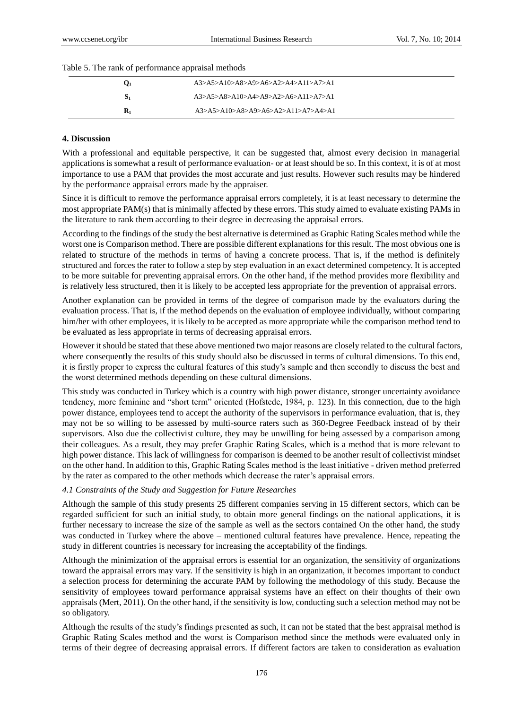## Table 5. The rank of performance appraisal methods

| V1             | A3>A5>A10>A8>A9>A6>A2>A4>A11>A7>A1                       |
|----------------|----------------------------------------------------------|
| $S_1$          | $A3 > A5 > A8 > A10 > A4 > A9 > A2 > A6 > A11 > A7 > A1$ |
| $\mathbf{R}_1$ | A3>A5>A10>A8>A9>A6>A2>A11>A7>A4>A1                       |

## **4. Discussion**

With a professional and equitable perspective, it can be suggested that, almost every decision in managerial applications is somewhat a result of performance evaluation- or at least should be so. In this context, it is of at most importance to use a PAM that provides the most accurate and just results. However such results may be hindered by the performance appraisal errors made by the appraiser.

Since it is difficult to remove the performance appraisal errors completely, it is at least necessary to determine the most appropriate PAM(s) that is minimally affected by these errors. This study aimed to evaluate existing PAMs in the literature to rank them according to their degree in decreasing the appraisal errors.

According to the findings of the study the best alternative is determined as Graphic Rating Scales method while the worst one is Comparison method. There are possible different explanations for this result. The most obvious one is related to structure of the methods in terms of having a concrete process. That is, if the method is definitely structured and forces the rater to follow a step by step evaluation in an exact determined competency. It is accepted to be more suitable for preventing appraisal errors. On the other hand, if the method provides more flexibility and is relatively less structured, then it is likely to be accepted less appropriate for the prevention of appraisal errors.

Another explanation can be provided in terms of the degree of comparison made by the evaluators during the evaluation process. That is, if the method depends on the evaluation of employee individually, without comparing him/her with other employees, it is likely to be accepted as more appropriate while the comparison method tend to be evaluated as less appropriate in terms of decreasing appraisal errors.

However it should be stated that these above mentioned two major reasons are closely related to the cultural factors, where consequently the results of this study should also be discussed in terms of cultural dimensions. To this end, it is firstly proper to express the cultural features of this study's sample and then secondly to discuss the best and the worst determined methods depending on these cultural dimensions.

This study was conducted in Turkey which is a country with high power distance, stronger uncertainty avoidance tendency, more feminine and "short term" oriented (Hofstede, 1984, p. 123). In this connection, due to the high power distance, employees tend to accept the authority of the supervisors in performance evaluation, that is, they may not be so willing to be assessed by multi-source raters such as 360-Degree Feedback instead of by their supervisors. Also due the collectivist culture, they may be unwilling for being assessed by a comparison among their colleagues. As a result, they may prefer Graphic Rating Scales, which is a method that is more relevant to high power distance. This lack of willingness for comparison is deemed to be another result of collectivist mindset on the other hand. In addition to this, Graphic Rating Scales method is the least initiative - driven method preferred by the rater as compared to the other methods which decrease the rater's appraisal errors.

## *4.1 Constraints of the Study and Suggestion for Future Researches*

Although the sample of this study presents 25 different companies serving in 15 different sectors, which can be regarded sufficient for such an initial study, to obtain more general findings on the national applications, it is further necessary to increase the size of the sample as well as the sectors contained On the other hand, the study was conducted in Turkey where the above – mentioned cultural features have prevalence. Hence, repeating the study in different countries is necessary for increasing the acceptability of the findings.

Although the minimization of the appraisal errors is essential for an organization, the sensitivity of organizations toward the appraisal errors may vary. If the sensitivity is high in an organization, it becomes important to conduct a selection process for determining the accurate PAM by following the methodology of this study. Because the sensitivity of employees toward performance appraisal systems have an effect on their thoughts of their own appraisals (Mert, 2011). On the other hand, if the sensitivity is low, conducting such a selection method may not be so obligatory.

Although the results of the study's findings presented as such, it can not be stated that the best appraisal method is Graphic Rating Scales method and the worst is Comparison method since the methods were evaluated only in terms of their degree of decreasing appraisal errors. If different factors are taken to consideration as evaluation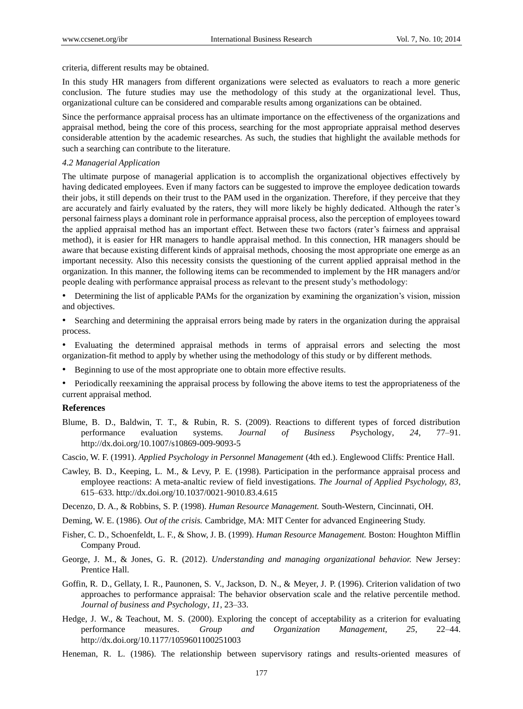#### criteria, different results may be obtained.

In this study HR managers from different organizations were selected as evaluators to reach a more generic conclusion. The future studies may use the methodology of this study at the organizational level. Thus, organizational culture can be considered and comparable results among organizations can be obtained.

Since the performance appraisal process has an ultimate importance on the effectiveness of the organizations and appraisal method, being the core of this process, searching for the most appropriate appraisal method deserves considerable attention by the academic researches. As such, the studies that highlight the available methods for such a searching can contribute to the literature.

#### *4.2 Managerial Application*

The ultimate purpose of managerial application is to accomplish the organizational objectives effectively by having dedicated employees. Even if many factors can be suggested to improve the employee dedication towards their jobs, it still depends on their trust to the PAM used in the organization. Therefore, if they perceive that they are accurately and fairly evaluated by the raters, they will more likely be highly dedicated. Although the rater's personal fairness plays a dominant role in performance appraisal process, also the perception of employees toward the applied appraisal method has an important effect. Between these two factors (rater's fairness and appraisal method), it is easier for HR managers to handle appraisal method. In this connection, HR managers should be aware that because existing different kinds of appraisal methods, choosing the most appropriate one emerge as an important necessity. Also this necessity consists the questioning of the current applied appraisal method in the organization. In this manner, the following items can be recommended to implement by the HR managers and/or people dealing with performance appraisal process as relevant to the present study's methodology:

• Determining the list of applicable PAMs for the organization by examining the organization's vision, mission and objectives.

- Searching and determining the appraisal errors being made by raters in the organization during the appraisal process.
- Evaluating the determined appraisal methods in terms of appraisal errors and selecting the most organization-fit method to apply by whether using the methodology of this study or by different methods.
- Beginning to use of the most appropriate one to obtain more effective results.
- Periodically reexamining the appraisal process by following the above items to test the appropriateness of the current appraisal method.

#### **References**

Blume, B. D., Baldwin, T. T., & Rubin, R. S. (2009). Reactions to different types of forced distribution performance evaluation systems. *Journal of Business P*sychology*, 24*, 77–91. http://dx.doi.org/10.1007/s10869-009-9093-5

Cascio, W. F. (1991). *Applied Psychology in Personnel Management* (4th ed.). Englewood Cliffs: Prentice Hall.

- Cawley, B. D., Keeping, L. M., & Levy, P. E. (1998). Participation in the performance appraisal process and employee reactions: A meta-analtic review of field investigations. *The Journal of Applied Psychology, 83*, 615–633. http://dx.doi.org/10.1037/0021-9010.83.4.615
- Decenzo, D. A., & Robbins, S. P. (1998). *Human Resource Management.* South-Western, Cincinnati, OH.
- Deming, W. E. (1986). *Out of the crisis.* Cambridge, MA: MIT Center for advanced Engineering Study.
- Fisher, C. D., Schoenfeldt, L. F., & Show, J. B. (1999). *Human Resource Management.* Boston: Houghton Mifflin Company Proud.
- George, J. M., & Jones, G. R. (2012). *Understanding and managing organizational behavior.* New Jersey: Prentice Hall.
- Goffin, R. D., Gellaty, I. R., Paunonen, S. V., Jackson, D. N., & Meyer, J. P. (1996). Criterion validation of two approaches to performance appraisal: The behavior observation scale and the relative percentile method. *Journal of business and Psychology*, *11*, 23–33.
- Hedge, J. W., & Teachout, M. S. (2000). Exploring the concept of acceptability as a criterion for evaluating performance measures. *Group and Organization Management, 25*, 22–44. http://dx.doi.org/10.1177/1059601100251003
- Heneman, R. L. (1986). The relationship between supervisory ratings and results-oriented measures of